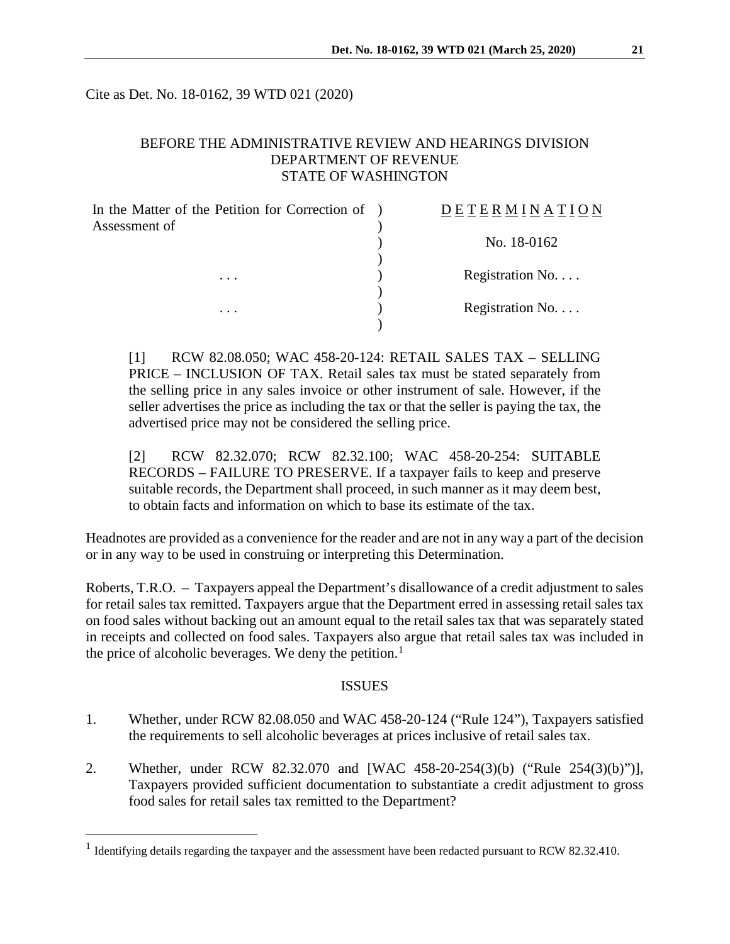Cite as Det. No. 18-0162, 39 WTD 021 (2020)

# BEFORE THE ADMINISTRATIVE REVIEW AND HEARINGS DIVISION DEPARTMENT OF REVENUE STATE OF WASHINGTON

| In the Matter of the Petition for Correction of )<br>Assessment of | DETERMINATION            |
|--------------------------------------------------------------------|--------------------------|
|                                                                    | No. 18-0162              |
| $\cdots$                                                           | Registration No.         |
| $\cdots$                                                           | Registration No. $\dots$ |

[1] RCW 82.08.050; WAC 458-20-124: RETAIL SALES TAX – SELLING PRICE – INCLUSION OF TAX. Retail sales tax must be stated separately from the selling price in any sales invoice or other instrument of sale. However, if the seller advertises the price as including the tax or that the seller is paying the tax, the advertised price may not be considered the selling price.

[2] RCW 82.32.070; RCW 82.32.100; WAC 458-20-254: SUITABLE RECORDS – FAILURE TO PRESERVE. If a taxpayer fails to keep and preserve suitable records, the Department shall proceed, in such manner as it may deem best, to obtain facts and information on which to base its estimate of the tax.

Headnotes are provided as a convenience for the reader and are not in any way a part of the decision or in any way to be used in construing or interpreting this Determination.

Roberts, T.R.O. – Taxpayers appeal the Department's disallowance of a credit adjustment to sales for retail sales tax remitted. Taxpayers argue that the Department erred in assessing retail sales tax on food sales without backing out an amount equal to the retail sales tax that was separately stated in receipts and collected on food sales. Taxpayers also argue that retail sales tax was included in the price of alcoholic beverages. We deny the petition. $<sup>1</sup>$  $<sup>1</sup>$  $<sup>1</sup>$ </sup>

#### ISSUES

- 1. Whether, under RCW 82.08.050 and WAC 458-20-124 ("Rule 124"), Taxpayers satisfied the requirements to sell alcoholic beverages at prices inclusive of retail sales tax.
- 2. Whether, under RCW 82.32.070 and [WAC 458-20-254(3)(b) ("Rule 254(3)(b)")], Taxpayers provided sufficient documentation to substantiate a credit adjustment to gross food sales for retail sales tax remitted to the Department?

<span id="page-0-0"></span><sup>&</sup>lt;sup>1</sup> Identifying details regarding the taxpayer and the assessment have been redacted pursuant to RCW 82.32.410.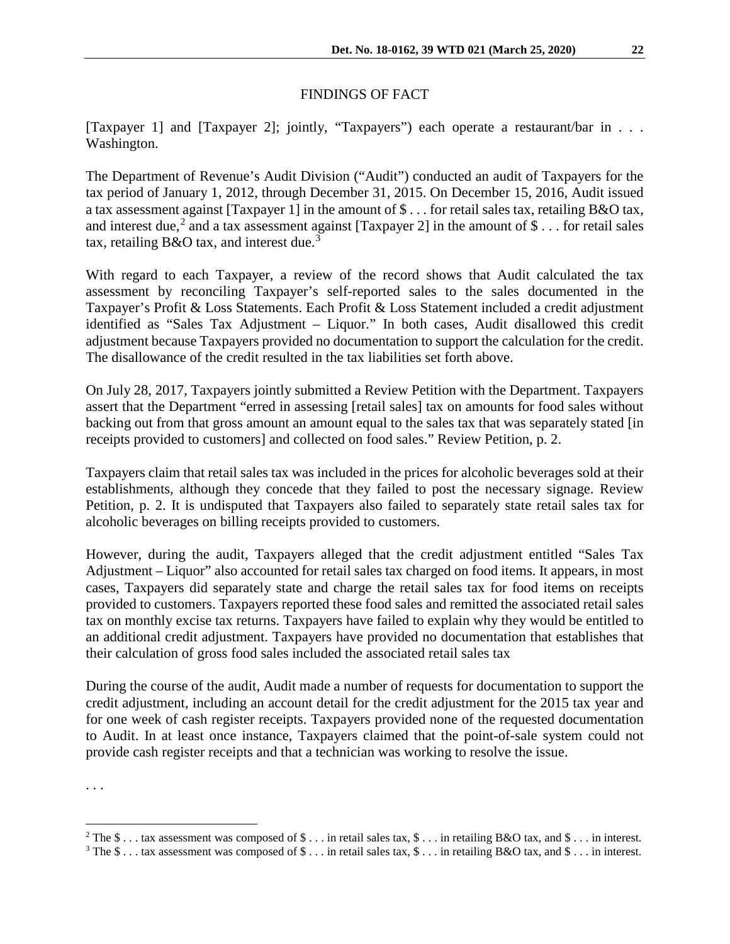# FINDINGS OF FACT

[Taxpayer 1] and [Taxpayer 2]; jointly, "Taxpayers") each operate a restaurant/bar in . . . Washington.

The Department of Revenue's Audit Division ("Audit") conducted an audit of Taxpayers for the tax period of January 1, 2012, through December 31, 2015. On December 15, 2016, Audit issued a tax assessment against [Taxpayer 1] in the amount of \$ . . . for retail sales tax, retailing B&O tax, and interest due,<sup>[2](#page-1-0)</sup> and a tax assessment against [Taxpayer 2] in the amount of \$... for retail sales tax, retailing  $B&O$  tax, and interest due.<sup>[3](#page-1-1)</sup>

With regard to each Taxpayer, a review of the record shows that Audit calculated the tax assessment by reconciling Taxpayer's self-reported sales to the sales documented in the Taxpayer's Profit & Loss Statements. Each Profit & Loss Statement included a credit adjustment identified as "Sales Tax Adjustment – Liquor." In both cases, Audit disallowed this credit adjustment because Taxpayers provided no documentation to support the calculation for the credit. The disallowance of the credit resulted in the tax liabilities set forth above.

On July 28, 2017, Taxpayers jointly submitted a Review Petition with the Department. Taxpayers assert that the Department "erred in assessing [retail sales] tax on amounts for food sales without backing out from that gross amount an amount equal to the sales tax that was separately stated [in receipts provided to customers] and collected on food sales." Review Petition, p. 2.

Taxpayers claim that retail sales tax was included in the prices for alcoholic beverages sold at their establishments, although they concede that they failed to post the necessary signage. Review Petition, p. 2. It is undisputed that Taxpayers also failed to separately state retail sales tax for alcoholic beverages on billing receipts provided to customers.

However, during the audit, Taxpayers alleged that the credit adjustment entitled "Sales Tax Adjustment – Liquor" also accounted for retail sales tax charged on food items. It appears, in most cases, Taxpayers did separately state and charge the retail sales tax for food items on receipts provided to customers. Taxpayers reported these food sales and remitted the associated retail sales tax on monthly excise tax returns. Taxpayers have failed to explain why they would be entitled to an additional credit adjustment. Taxpayers have provided no documentation that establishes that their calculation of gross food sales included the associated retail sales tax

During the course of the audit, Audit made a number of requests for documentation to support the credit adjustment, including an account detail for the credit adjustment for the 2015 tax year and for one week of cash register receipts. Taxpayers provided none of the requested documentation to Audit. In at least once instance, Taxpayers claimed that the point-of-sale system could not provide cash register receipts and that a technician was working to resolve the issue.

. . .

<span id="page-1-0"></span><sup>&</sup>lt;sup>2</sup> The \$... tax assessment was composed of \$... in retail sales tax, \$... in retailing B&O tax, and \$... in interest.<br><sup>3</sup> The \$... tax assessment was composed of \$... in retail sales tax, \$... in retailing B&O tax, and \$

<span id="page-1-1"></span>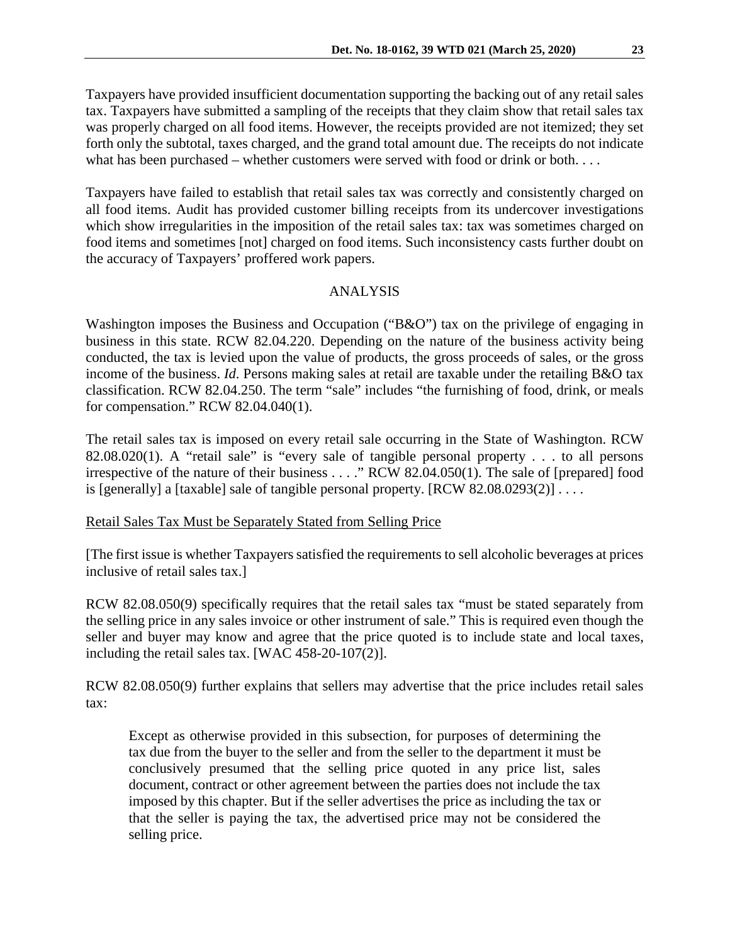Taxpayers have provided insufficient documentation supporting the backing out of any retail sales tax. Taxpayers have submitted a sampling of the receipts that they claim show that retail sales tax was properly charged on all food items. However, the receipts provided are not itemized; they set forth only the subtotal, taxes charged, and the grand total amount due. The receipts do not indicate what has been purchased – whether customers were served with food or drink or both....

Taxpayers have failed to establish that retail sales tax was correctly and consistently charged on all food items. Audit has provided customer billing receipts from its undercover investigations which show irregularities in the imposition of the retail sales tax: tax was sometimes charged on food items and sometimes [not] charged on food items. Such inconsistency casts further doubt on the accuracy of Taxpayers' proffered work papers.

## ANALYSIS

Washington imposes the Business and Occupation ("B&O") tax on the privilege of engaging in business in this state. RCW 82.04.220. Depending on the nature of the business activity being conducted, the tax is levied upon the value of products, the gross proceeds of sales, or the gross income of the business. *Id*. Persons making sales at retail are taxable under the retailing B&O tax classification. RCW 82.04.250. The term "sale" includes "the furnishing of food, drink, or meals for compensation." RCW 82.04.040(1).

The retail sales tax is imposed on every retail sale occurring in the State of Washington. RCW 82.08.020(1). A "retail sale" is "every sale of tangible personal property . . . to all persons irrespective of the nature of their business . . . ." RCW 82.04.050(1). The sale of [prepared] food is [generally] a [taxable] sale of tangible personal property.  $[RCW 82.08.0293(2)] \ldots$ .

### Retail Sales Tax Must be Separately Stated from Selling Price

[The first issue is whether Taxpayers satisfied the requirements to sell alcoholic beverages at prices inclusive of retail sales tax.]

RCW 82.08.050(9) specifically requires that the retail sales tax "must be stated separately from the selling price in any sales invoice or other instrument of sale." This is required even though the seller and buyer may know and agree that the price quoted is to include state and local taxes, including the retail sales tax. [WAC 458-20-107(2)].

RCW 82.08.050(9) further explains that sellers may advertise that the price includes retail sales tax:

Except as otherwise provided in this subsection, for purposes of determining the tax due from the buyer to the seller and from the seller to the department it must be conclusively presumed that the selling price quoted in any price list, sales document, contract or other agreement between the parties does not include the tax imposed by this chapter. But if the seller advertises the price as including the tax or that the seller is paying the tax, the advertised price may not be considered the selling price.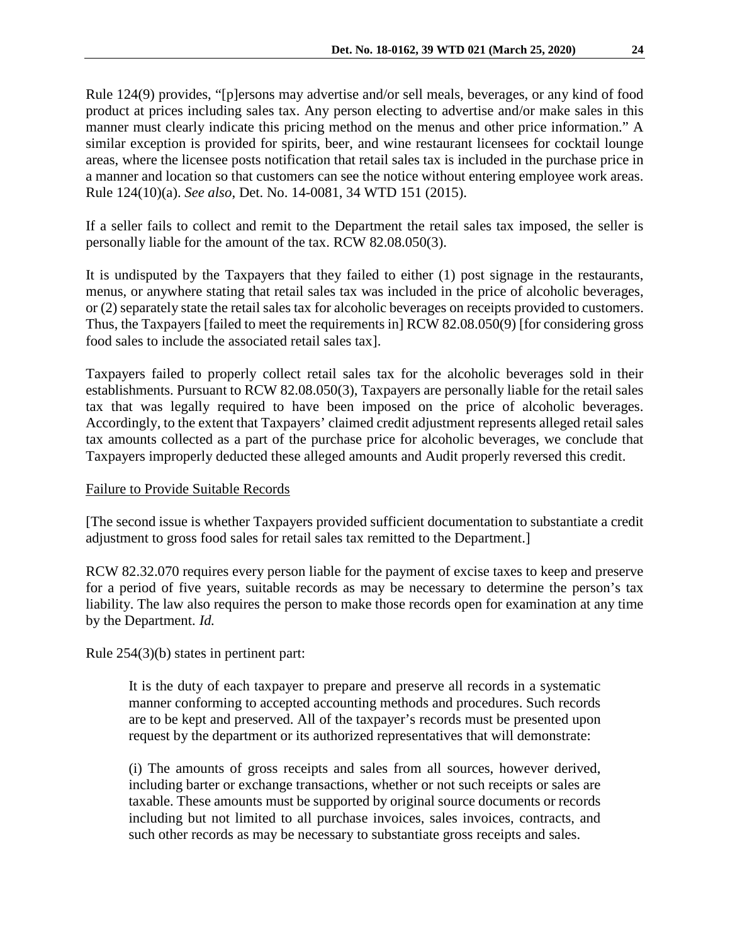Rule 124(9) provides, "[p]ersons may advertise and/or sell meals, beverages, or any kind of food product at prices including sales tax. Any person electing to advertise and/or make sales in this manner must clearly indicate this pricing method on the menus and other price information." A similar exception is provided for spirits, beer, and wine restaurant licensees for cocktail lounge areas, where the licensee posts notification that retail sales tax is included in the purchase price in a manner and location so that customers can see the notice without entering employee work areas. Rule 124(10)(a). *See also*, Det. No. 14-0081, 34 WTD 151 (2015).

If a seller fails to collect and remit to the Department the retail sales tax imposed, the seller is personally liable for the amount of the tax. RCW 82.08.050(3).

It is undisputed by the Taxpayers that they failed to either (1) post signage in the restaurants, menus, or anywhere stating that retail sales tax was included in the price of alcoholic beverages, or (2) separately state the retail sales tax for alcoholic beverages on receipts provided to customers. Thus, the Taxpayers [failed to meet the requirements in] RCW 82.08.050(9) [for considering gross food sales to include the associated retail sales tax].

Taxpayers failed to properly collect retail sales tax for the alcoholic beverages sold in their establishments. Pursuant to RCW 82.08.050(3), Taxpayers are personally liable for the retail sales tax that was legally required to have been imposed on the price of alcoholic beverages. Accordingly, to the extent that Taxpayers' claimed credit adjustment represents alleged retail sales tax amounts collected as a part of the purchase price for alcoholic beverages, we conclude that Taxpayers improperly deducted these alleged amounts and Audit properly reversed this credit.

### Failure to Provide Suitable Records

[The second issue is whether Taxpayers provided sufficient documentation to substantiate a credit adjustment to gross food sales for retail sales tax remitted to the Department.]

RCW 82.32.070 requires every person liable for the payment of excise taxes to keep and preserve for a period of five years, suitable records as may be necessary to determine the person's tax liability. The law also requires the person to make those records open for examination at any time by the Department. *Id.*

Rule 254(3)(b) states in pertinent part:

It is the duty of each taxpayer to prepare and preserve all records in a systematic manner conforming to accepted accounting methods and procedures. Such records are to be kept and preserved. All of the taxpayer's records must be presented upon request by the department or its authorized representatives that will demonstrate:

(i) The amounts of gross receipts and sales from all sources, however derived, including barter or exchange transactions, whether or not such receipts or sales are taxable. These amounts must be supported by original source documents or records including but not limited to all purchase invoices, sales invoices, contracts, and such other records as may be necessary to substantiate gross receipts and sales.